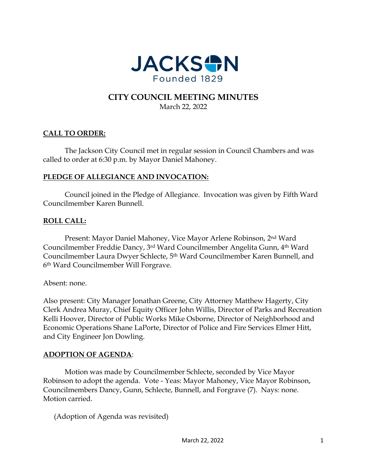

# **CITY COUNCIL MEETING MINUTES** March 22, 2022

# **CALL TO ORDER:**

The Jackson City Council met in regular session in Council Chambers and was called to order at 6:30 p.m. by Mayor Daniel Mahoney.

## **PLEDGE OF ALLEGIANCE AND INVOCATION:**

Council joined in the Pledge of Allegiance. Invocation was given by Fifth Ward Councilmember Karen Bunnell.

## **ROLL CALL:**

Present: Mayor Daniel Mahoney, Vice Mayor Arlene Robinson, 2nd Ward Councilmember Freddie Dancy, 3rd Ward Councilmember Angelita Gunn, 4th Ward Councilmember Laura Dwyer Schlecte, 5th Ward Councilmember Karen Bunnell, and 6th Ward Councilmember Will Forgrave.

Absent: none.

Also present: City Manager Jonathan Greene, City Attorney Matthew Hagerty, City Clerk Andrea Muray, Chief Equity Officer John Willis, Director of Parks and Recreation Kelli Hoover, Director of Public Works Mike Osborne, Director of Neighborhood and Economic Operations Shane LaPorte, Director of Police and Fire Services Elmer Hitt, and City Engineer Jon Dowling.

### **ADOPTION OF AGENDA**:

Motion was made by Councilmember Schlecte, seconded by Vice Mayor Robinson to adopt the agenda. Vote - Yeas: Mayor Mahoney, Vice Mayor Robinson, Councilmembers Dancy, Gunn, Schlecte, Bunnell, and Forgrave (7). Nays: none. Motion carried.

(Adoption of Agenda was revisited)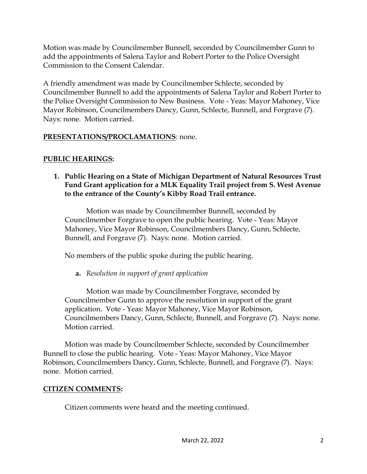Motion was made by Councilmember Bunnell, seconded by Councilmember Gunn to add the appointments of Salena Taylor and Robert Porter to the Police Oversight Commission to the Consent Calendar.

A friendly amendment was made by Councilmember Schlecte, seconded by Councilmember Bunnell to add the appointments of Salena Taylor and Robert Porter to the Police Oversight Commission to New Business. Vote - Yeas: Mayor Mahoney, Vice Mayor Robinson, Councilmembers Dancy, Gunn, Schlecte, Bunnell, and Forgrave (7). Nays: none. Motion carried.

# **PRESENTATIONS/PROCLAMATIONS**: none.

# **PUBLIC HEARINGS:**

**1. Public Hearing on a State of Michigan Department of Natural Resources Trust Fund Grant application for a MLK Equality Trail project from S. West Avenue to the entrance of the County's Kibby Road Trail entrance.**

Motion was made by Councilmember Bunnell, seconded by Councilmember Forgrave to open the public hearing. Vote - Yeas: Mayor Mahoney, Vice Mayor Robinson, Councilmembers Dancy, Gunn, Schlecte, Bunnell, and Forgrave (7). Nays: none. Motion carried.

No members of the public spoke during the public hearing.

**a.** *Resolution in support of grant application*

Motion was made by Councilmember Forgrave, seconded by Councilmember Gunn to approve the resolution in support of the grant application. Vote - Yeas: Mayor Mahoney, Vice Mayor Robinson, Councilmembers Dancy, Gunn, Schlecte, Bunnell, and Forgrave (7). Nays: none. Motion carried.

Motion was made by Councilmember Schlecte, seconded by Councilmember Bunnell to close the public hearing. Vote - Yeas: Mayor Mahoney, Vice Mayor Robinson, Councilmembers Dancy, Gunn, Schlecte, Bunnell, and Forgrave (7). Nays: none. Motion carried.

## **CITIZEN COMMENTS:**

Citizen comments were heard and the meeting continued.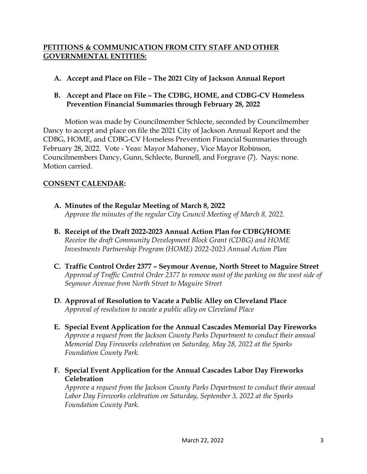## **PETITIONS & COMMUNICATION FROM CITY STAFF AND OTHER GOVERNMENTAL ENTITIES:**

- **A. Accept and Place on File – The 2021 City of Jackson Annual Report**
- **B. Accept and Place on File – The CDBG, HOME, and CDBG-CV Homeless Prevention Financial Summaries through February 28, 2022**

Motion was made by Councilmember Schlecte, seconded by Councilmember Dancy to accept and place on file the 2021 City of Jackson Annual Report and the CDBG, HOME, and CDBG-CV Homeless Prevention Financial Summaries through February 28, 2022. Vote - Yeas: Mayor Mahoney, Vice Mayor Robinson, Councilmembers Dancy, Gunn, Schlecte, Bunnell, and Forgrave (7). Nays: none. Motion carried.

# **CONSENT CALENDAR:**

- **A. Minutes of the Regular Meeting of March 8, 2022**  *Approve the minutes of the regular City Council Meeting of March 8, 2022.*
- **B. Receipt of the Draft 2022-2023 Annual Action Plan for CDBG/HOME** *Receive the draft Community Development Block Grant (CDBG) and HOME Investments Partnership Program (HOME) 2022-2023 Annual Action Plan*
- **C. Traffic Control Order 2377 – Seymour Avenue, North Street to Maguire Street** *Approval of Traffic Control Order 2377 to remove most of the parking on the west side of Seymour Avenue from North Street to Maguire Street*
- **D. Approval of Resolution to Vacate a Public Alley on Cleveland Place**  *Approval of resolution to vacate a public alley on Cleveland Place*
- **E. Special Event Application for the Annual Cascades Memorial Day Fireworks**  *Approve a request from the Jackson County Parks Department to conduct their annual Memorial Day Fireworks celebration on Saturday, May 28, 2022 at the Sparks Foundation County Park.*
- **F. Special Event Application for the Annual Cascades Labor Day Fireworks Celebration**

*Approve a request from the Jackson County Parks Department to conduct their annual Labor Day Fireworks celebration on Saturday, September 3, 2022 at the Sparks Foundation County Park.*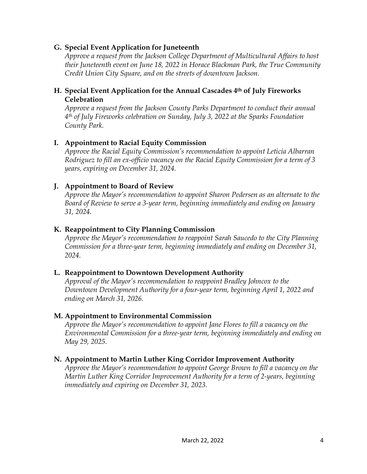### **G. Special Event Application for Juneteenth**

*Approve a request from the Jackson College Department of Multicultural Affairs to host their Juneteenth event on June 18, 2022 in Horace Blackman Park, the True Community Credit Union City Square, and on the streets of downtown Jackson.* 

### **H. Special Event Application for the Annual Cascades 4th of July Fireworks Celebration**

*Approve a request from the Jackson County Parks Department to conduct their annual 4th of July Fireworks celebration on Sunday, July 3, 2022 at the Sparks Foundation County Park.* 

## **I. Appointment to Racial Equity Commission**

*Approve the Racial Equity Commission's recommendation to appoint Leticia Albarran Rodriguez to fill an ex-officio vacancy on the Racial Equity Commission for a term of 3 years, expiring on December 31, 2024.* 

# **J. Appointment to Board of Review**

*Approve the Mayor's recommendation to appoint Sharon Pedersen as an alternate to the Board of Review to serve a 3-year term, beginning immediately and ending on January 31, 2024.* 

## **K. Reappointment to City Planning Commission**

*Approve the Mayor's recommendation to reappoint Sarah Saucedo to the City Planning Commission for a three-year term, beginning immediately and ending on December 31, 2024.* 

## **L. Reappointment to Downtown Development Authority**

*Approval of the Mayor's recommendation to reappoint Bradley Johncox to the Downtown Development Authority for a four-year term, beginning April 1, 2022 and ending on March 31, 2026.* 

## **M. Appointment to Environmental Commission**

*Approve the Mayor's recommendation to appoint Jane Flores to fill a vacancy on the Environmental Commission for a three-year term, beginning immediately and ending on May 29, 2025.* 

# **N. Appointment to Martin Luther King Corridor Improvement Authority**

*Approve the Mayor's recommendation to appoint George Brown to fill a vacancy on the Martin Luther King Corridor Improvement Authority for a term of 2-years, beginning immediately and expiring on December 31, 2023.*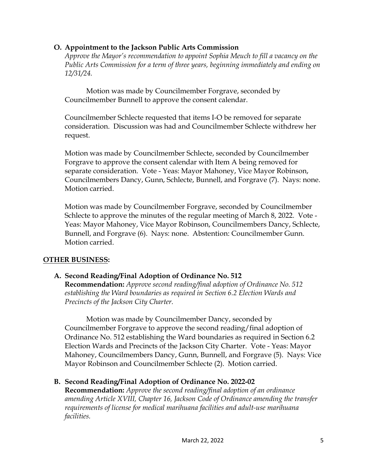## **O. Appointment to the Jackson Public Arts Commission**

*Approve the Mayor's recommendation to appoint Sophia Meuch to fill a vacancy on the Public Arts Commission for a term of three years, beginning immediately and ending on 12/31/24.* 

Motion was made by Councilmember Forgrave, seconded by Councilmember Bunnell to approve the consent calendar.

Councilmember Schlecte requested that items I-O be removed for separate consideration. Discussion was had and Councilmember Schlecte withdrew her request.

Motion was made by Councilmember Schlecte, seconded by Councilmember Forgrave to approve the consent calendar with Item A being removed for separate consideration. Vote - Yeas: Mayor Mahoney, Vice Mayor Robinson, Councilmembers Dancy, Gunn, Schlecte, Bunnell, and Forgrave (7). Nays: none. Motion carried.

Motion was made by Councilmember Forgrave, seconded by Councilmember Schlecte to approve the minutes of the regular meeting of March 8, 2022. Vote - Yeas: Mayor Mahoney, Vice Mayor Robinson, Councilmembers Dancy, Schlecte, Bunnell, and Forgrave (6). Nays: none. Abstention: Councilmember Gunn. Motion carried.

## **OTHER BUSINESS:**

## **A. Second Reading/Final Adoption of Ordinance No. 512**

**Recommendation:** *Approve second reading/final adoption of Ordinance No. 512 establishing the Ward boundaries as required in Section 6.2 Election Wards and Precincts of the Jackson City Charter.*

Motion was made by Councilmember Dancy, seconded by Councilmember Forgrave to approve the second reading/final adoption of Ordinance No. 512 establishing the Ward boundaries as required in Section 6.2 Election Wards and Precincts of the Jackson City Charter. Vote - Yeas: Mayor Mahoney, Councilmembers Dancy, Gunn, Bunnell, and Forgrave (5). Nays: Vice Mayor Robinson and Councilmember Schlecte (2). Motion carried.

## **B. Second Reading/Final Adoption of Ordinance No. 2022-02**

**Recommendation:** *Approve the second reading/final adoption of an ordinance amending Article XVIII, Chapter 16, Jackson Code of Ordinance amending the transfer requirements of license for medical marihuana facilities and adult-use marihuana facilities.*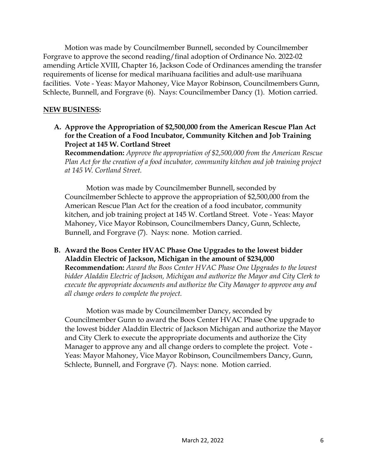Motion was made by Councilmember Bunnell, seconded by Councilmember Forgrave to approve the second reading/final adoption of Ordinance No. 2022-02 amending Article XVIII, Chapter 16, Jackson Code of Ordinances amending the transfer requirements of license for medical marihuana facilities and adult-use marihuana facilities. Vote - Yeas: Mayor Mahoney, Vice Mayor Robinson, Councilmembers Gunn, Schlecte, Bunnell, and Forgrave (6). Nays: Councilmember Dancy (1). Motion carried.

### **NEW BUSINESS:**

**A. Approve the Appropriation of \$2,500,000 from the American Rescue Plan Act for the Creation of a Food Incubator, Community Kitchen and Job Training Project at 145 W. Cortland Street**

**Recommendation:** *Approve the appropriation of \$2,500,000 from the American Rescue Plan Act for the creation of a food incubator, community kitchen and job training project at 145 W. Cortland Street.* 

Motion was made by Councilmember Bunnell, seconded by Councilmember Schlecte to approve the appropriation of \$2,500,000 from the American Rescue Plan Act for the creation of a food incubator, community kitchen, and job training project at 145 W. Cortland Street. Vote - Yeas: Mayor Mahoney, Vice Mayor Robinson, Councilmembers Dancy, Gunn, Schlecte, Bunnell, and Forgrave (7). Nays: none. Motion carried.

# **B. Award the Boos Center HVAC Phase One Upgrades to the lowest bidder Aladdin Electric of Jackson, Michigan in the amount of \$234,000**

**Recommendation:** *Award the Boos Center HVAC Phase One Upgrades to the lowest bidder Aladdin Electric of Jackson, Michigan and authorize the Mayor and City Clerk to execute the appropriate documents and authorize the City Manager to approve any and all change orders to complete the project.* 

Motion was made by Councilmember Dancy, seconded by Councilmember Gunn to award the Boos Center HVAC Phase One upgrade to the lowest bidder Aladdin Electric of Jackson Michigan and authorize the Mayor and City Clerk to execute the appropriate documents and authorize the City Manager to approve any and all change orders to complete the project. Vote - Yeas: Mayor Mahoney, Vice Mayor Robinson, Councilmembers Dancy, Gunn, Schlecte, Bunnell, and Forgrave (7). Nays: none. Motion carried.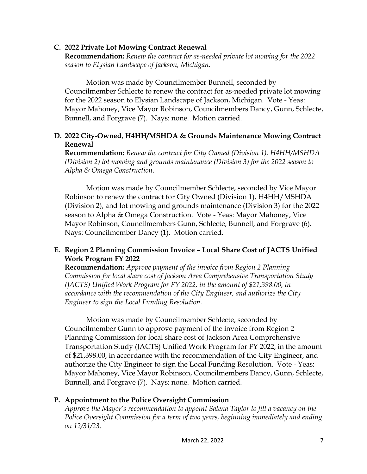### **C. 2022 Private Lot Mowing Contract Renewal**

**Recommendation:** *Renew the contract for as-needed private lot mowing for the 2022 season to Elysian Landscape of Jackson, Michigan.* 

Motion was made by Councilmember Bunnell, seconded by Councilmember Schlecte to renew the contract for as-needed private lot mowing for the 2022 season to Elysian Landscape of Jackson, Michigan. Vote - Yeas: Mayor Mahoney, Vice Mayor Robinson, Councilmembers Dancy, Gunn, Schlecte, Bunnell, and Forgrave (7). Nays: none. Motion carried.

### **D. 2022 City-Owned, H4HH/MSHDA & Grounds Maintenance Mowing Contract Renewal**

**Recommendation:** *Renew the contract for City Owned (Division 1), H4HH/MSHDA (Division 2) lot mowing and grounds maintenance (Division 3) for the 2022 season to Alpha & Omega Construction.* 

Motion was made by Councilmember Schlecte, seconded by Vice Mayor Robinson to renew the contract for City Owned (Division 1), H4HH/MSHDA (Division 2), and lot mowing and grounds maintenance (Division 3) for the 2022 season to Alpha & Omega Construction. Vote - Yeas: Mayor Mahoney, Vice Mayor Robinson, Councilmembers Gunn, Schlecte, Bunnell, and Forgrave (6). Nays: Councilmember Dancy (1). Motion carried.

# **E. Region 2 Planning Commission Invoice – Local Share Cost of JACTS Unified Work Program FY 2022**

**Recommendation:** *Approve payment of the invoice from Region 2 Planning Commission for local share cost of Jackson Area Comprehensive Transportation Study (JACTS) Unified Work Program for FY 2022, in the amount of \$21,398.00, in accordance with the recommendation of the City Engineer, and authorize the City Engineer to sign the Local Funding Resolution.* 

Motion was made by Councilmember Schlecte, seconded by Councilmember Gunn to approve payment of the invoice from Region 2 Planning Commission for local share cost of Jackson Area Comprehensive Transportation Study (JACTS) Unified Work Program for FY 2022, in the amount of \$21,398.00, in accordance with the recommendation of the City Engineer, and authorize the City Engineer to sign the Local Funding Resolution. Vote - Yeas: Mayor Mahoney, Vice Mayor Robinson, Councilmembers Dancy, Gunn, Schlecte, Bunnell, and Forgrave (7). Nays: none. Motion carried.

## **P. Appointment to the Police Oversight Commission**

*Approve the Mayor's recommendation to appoint Salena Taylor to fill a vacancy on the Police Oversight Commission for a term of two years, beginning immediately and ending on 12/31/23.*